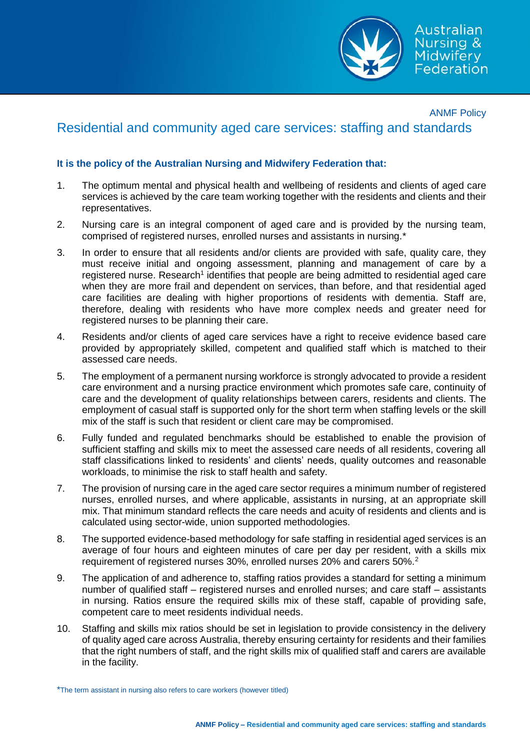

## ANMF Policy Residential and community aged care services: staffing and standards

## **It is the policy of the Australian Nursing and Midwifery Federation that:**

- 1. The optimum mental and physical health and wellbeing of residents and clients of aged care services is achieved by the care team working together with the residents and clients and their representatives.
- 2. Nursing care is an integral component of aged care and is provided by the nursing team, comprised of registered nurses, enrolled nurses and assistants in nursing.\*
- 3. In order to ensure that all residents and/or clients are provided with safe, quality care, they must receive initial and ongoing assessment, planning and management of care by a registered nurse. Research<sup>1</sup> identifies that people are being admitted to residential aged care when they are more frail and dependent on services, than before, and that residential aged care facilities are dealing with higher proportions of residents with dementia. Staff are, therefore, dealing with residents who have more complex needs and greater need for registered nurses to be planning their care.
- 4. Residents and/or clients of aged care services have a right to receive evidence based care provided by appropriately skilled, competent and qualified staff which is matched to their assessed care needs.
- 5. The employment of a permanent nursing workforce is strongly advocated to provide a resident care environment and a nursing practice environment which promotes safe care, continuity of care and the development of quality relationships between carers, residents and clients. The employment of casual staff is supported only for the short term when staffing levels or the skill mix of the staff is such that resident or client care may be compromised.
- 6. Fully funded and regulated benchmarks should be established to enable the provision of sufficient staffing and skills mix to meet the assessed care needs of all residents, covering all staff classifications linked to residents' and clients' needs, quality outcomes and reasonable workloads, to minimise the risk to staff health and safety.
- 7. The provision of nursing care in the aged care sector requires a minimum number of registered nurses, enrolled nurses, and where applicable, assistants in nursing, at an appropriate skill mix. That minimum standard reflects the care needs and acuity of residents and clients and is calculated using sector-wide, union supported methodologies.
- 8. The supported evidence-based methodology for safe staffing in residential aged services is an average of four hours and eighteen minutes of care per day per resident, with a skills mix requirement of registered nurses 30%, enrolled nurses 20% and carers 50%.<sup>2</sup>
- 9. The application of and adherence to, staffing ratios provides a standard for setting a minimum number of qualified staff – registered nurses and enrolled nurses; and care staff – assistants in nursing. Ratios ensure the required skills mix of these staff, capable of providing safe, competent care to meet residents individual needs.
- 10. Staffing and skills mix ratios should be set in legislation to provide consistency in the delivery of quality aged care across Australia, thereby ensuring certainty for residents and their families that the right numbers of staff, and the right skills mix of qualified staff and carers are available in the facility.

\*The term assistant in nursing also refers to care workers (however titled)